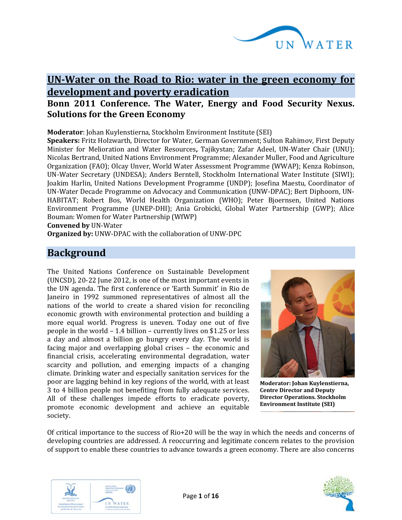

# **UN-Water on the Road to Rio: water in the green economy for development and poverty eradication**

## **Bonn 2011 Conference. The Water, Energy and Food Security Nexus. Solutions for the Green Economy**

**Moderator**: Johan Kuylenstierna, Stockholm Environment Institute (SEI)

**Speakers:** Fritz Holzwarth, Director for Water, German Government; Sulton Rahimov, First Deputy Minister for Melioration and Water Resources**,** Tajikystan; Zafar Adeel, UN-Water Chair (UNU); Nicolas Bertrand, United Nations Environment Programme; Alexander Muller, Food and Agriculture Organization (FAO); Olcay Unver, World Water Assessment Programme (WWAP); Kenza Robinson, UN-Water Secretary (UNDESA); Anders Berntell, Stockholm International Water Institute (SIWI); Joakim Harlin, United Nations Development Programme (UNDP); Josefina Maestu, Coordinator of UN-Water Decade Programme on Advocacy and Communication (UNW-DPAC); Bert Diphoorn, UN-HABITAT; Robert Bos, World Health Organization (WHO); Peter Bjoernsen, United Nations Environment Programme (UNEP-DHI); Ania Grobicki, Global Water Partnership (GWP); Alice Bouman: Women for Water Partnership (WfWP)

**Convened by** UN-Water

**Organized by:** UNW-DPAC with the collaboration of UNW-DPC

## **Background**

The United Nations Conference on Sustainable Development (UNCSD), 20-22 June 2012, is one of the most important events in the UN agenda. The first conference or 'Earth Summit' in Rio de Janeiro in 1992 summoned representatives of almost all the nations of the world to create a shared vision for reconciling economic growth with environmental protection and building a more equal world. Progress is uneven. Today one out of five people in the world – 1.4 billion – currently lives on \$1.25 or less a day and almost a billion go hungry every day. The world is facing major and overlapping global crises – the economic and financial crisis, accelerating environmental degradation, water scarcity and pollution, and emerging impacts of a changing climate. Drinking water and especially sanitation services for the poor are lagging behind in key regions of the world, with at least 3 to 4 billion people not benefiting from fully adequate services. All of these challenges impede efforts to eradicate poverty, promote economic development and achieve an equitable society.



**Moderator: Johan Kuylenstierna, Centre Director and Deputy Director Operations. Stockholm Environment Institute (SEI)**

Of critical importance to the success of Rio+20 will be the way in which the needs and concerns of developing countries are addressed. A reoccurring and legitimate concern relates to the provision of support to enable these countries to advance towards a green economy. There are also concerns



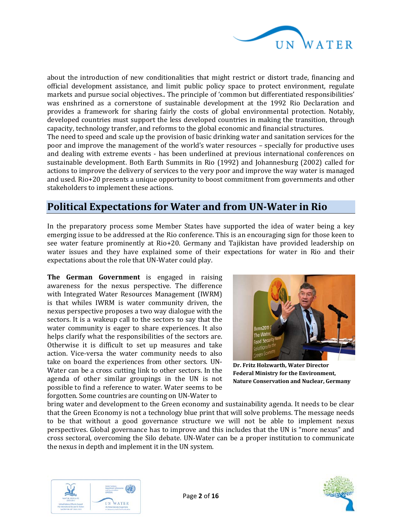

about the introduction of new conditionalities that might restrict or distort trade, financing and official development assistance, and limit public policy space to protect environment, regulate markets and pursue social objectives.. The principle of 'common but differentiated responsibilities' was enshrined as a cornerstone of sustainable development at the 1992 Rio Declaration and provides a framework for sharing fairly the costs of global environmental protection. Notably, developed countries must support the less developed countries in making the transition, through capacity, technology transfer, and reforms to the global economic and financial structures.

The need to speed and scale up the provision of basic drinking water and sanitation services for the poor and improve the management of the world's water resources – specially for productive uses and dealing with extreme events - has been underlined at previous international conferences on sustainable development. Both Earth Summits in Rio (1992) and Johannesburg (2002) called for actions to improve the delivery of services to the very poor and improve the way water is managed and used. Rio+20 presents a unique opportunity to boost commitment from governments and other stakeholders to implement these actions.

# **Political Expectations for Water and from UN-Water in Rio**

In the preparatory process some Member States have supported the idea of water being a key emerging issue to be addressed at the Rio conference. This is an encouraging sign for those keen to see water feature prominently at Rio+20. Germany and Tajikistan have provided leadership on water issues and they have explained some of their expectations for water in Rio and their expectations about the role that UN-Water could play.

**The German Government** is engaged in raising awareness for the nexus perspective. The difference with Integrated Water Resources Management (IWRM) is that whiles IWRM is water community driven, the nexus perspective proposes a two way dialogue with the sectors. It is a wakeup call to the sectors to say that the water community is eager to share experiences. It also helps clarify what the responsibilities of the sectors are. Otherwise it is difficult to set up measures and take action. Vice-versa the water community needs to also take on board the experiences from other sectors. UN-Water can be a cross cutting link to other sectors. In the agenda of other similar groupings in the UN is not possible to find a reference to water. Water seems to be forgotten. Some countries are counting on UN-Water to



**Dr. Fritz Holzwarth, Water Director Federal Ministry for the Environment, Nature Conservation and Nuclear, Germany**

bring water and development to the Green economy and sustainability agenda. It needs to be clear that the Green Economy is not a technology blue print that will solve problems. The message needs to be that without a good governance structure we will not be able to implement nexus perspectives. Global governance has to improve and this includes that the UN is "more nexus" and cross sectoral, overcoming the Silo debate. UN-Water can be a proper institution to communicate the nexus in depth and implement it in the UN system.



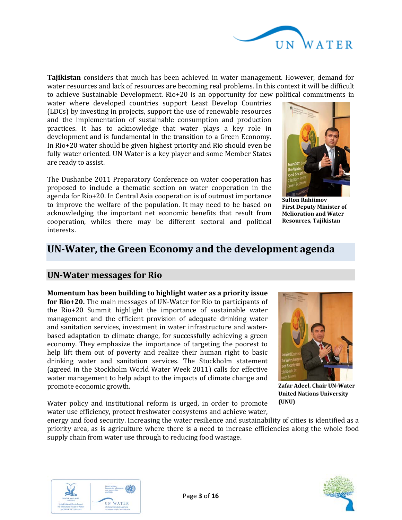

**Tajikistan** considers that much has been achieved in water management. However, demand for water resources and lack of resources are becoming real problems. In this context it will be difficult to achieve Sustainable Development. Rio+20 is an opportunity for new political commitments in

water where developed countries support Least Develop Countries (LDCs) by investing in projects, support the use of renewable resources and the implementation of sustainable consumption and production practices. It has to acknowledge that water plays a key role in development and is fundamental in the transition to a Green Economy. In Rio+20 water should be given highest priority and Rio should even be fully water oriented. UN Water is a key player and some Member States are ready to assist.

The Dushanbe 2011 Preparatory Conference on water cooperation has proposed to include a thematic section on water cooperation in the agenda for Rio+20. In Central Asia cooperation is of outmost importance to improve the welfare of the population. It may need to be based on acknowledging the important net economic benefits that result from cooperation, whiles there may be different sectoral and political interests.



**Sulton Rahiimov First Deputy Minister of Melioration and Water Resources, Tajikistan**

# **UN-Water, the Green Economy and the development agenda**

### **UN-Water messages for Rio**

**Momentum has been building to highlight water as a priority issue for Rio+20.** The main messages of UN-Water for Rio to participants of the Rio+20 Summit highlight the importance of sustainable water management and the efficient provision of adequate drinking water and sanitation services, investment in water infrastructure and waterbased adaptation to climate change, for successfully achieving a green economy. They emphasize the importance of targeting the poorest to help lift them out of poverty and realize their human right to basic drinking water and sanitation services. The Stockholm statement (agreed in the Stockholm World Water Week 2011) calls for effective water management to help adapt to the impacts of climate change and promote economic growth.



**Zafar Adeel, Chair UN-Water United Nations University (UNU)**

Water policy and institutional reform is urged, in order to promote water use efficiency, protect freshwater ecosystems and achieve water,

energy and food security. Increasing the water resilience and sustainability of cities is identified as a priority area, as is agriculture where there is a need to increase efficiencies along the whole food supply chain from water use through to reducing food wastage.



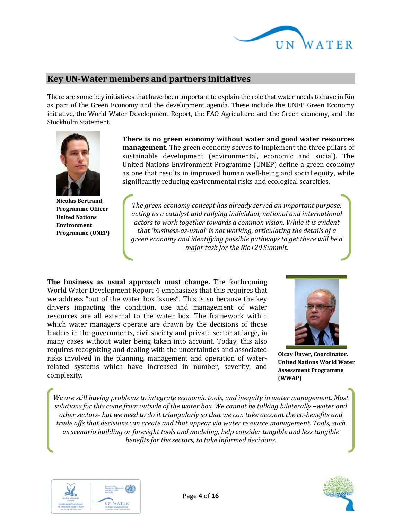

### **Key UN-Water members and partners initiatives**

There are some key initiatives that have been important to explain the role that water needs to have in Rio as part of the Green Economy and the development agenda. These include the UNEP Green Economy initiative, the World Water Development Report, the FAO Agriculture and the Green economy, and the Stockholm Statement.



**Nicolas Bertrand, Programme Officer United Nations Environment Programme (UNEP)**

**There is no green economy without water and good water resources management.** The green economy serves to implement the three pillars of sustainable development (environmental, economic and social). The United Nations Environment Programme (UNEP) define a green economy as one that results in improved human well-being and social equity, while significantly reducing environmental risks and ecological scarcities.

*The green economy concept has already served an important purpose: acting as a catalyst and rallying individual, national and international actors to work together towards a common vision. While it is evident that 'business-as-usual' is not working, articulating the details of a green economy and identifying possible pathways to get there will be a major task for the Rio+20 Summit.*

**The business as usual approach must change.** The forthcoming World Water Development Report 4 emphasizes that this requires that we address "out of the water box issues". This is so because the key drivers impacting the condition, use and management of water resources are all external to the water box. The framework within which water managers operate are drawn by the decisions of those leaders in the governments, civil society and private sector at large, in many cases without water being taken into account. Today, this also requires recognizing and dealing with the uncertainties and associated risks involved in the planning, management and operation of waterrelated systems which have increased in number, severity, and complexity.



**Olcay Ünver, Coordinator. United Nations World Water Assessment Programme (WWAP)**

*We are still having problems to integrate economic tools, and inequity in water management. Most solutions for this come from outside of the water box. We cannot be talking bilaterally –water and other sectors- but we need to do it triangularly so that we can take account the co-benefits and trade offs that decisions can create and that appear via water resource management. Tools, such as scenario building or foresight tools and modeling, help consider tangible and less tangible benefits for the sectors, to take informed decisions.*



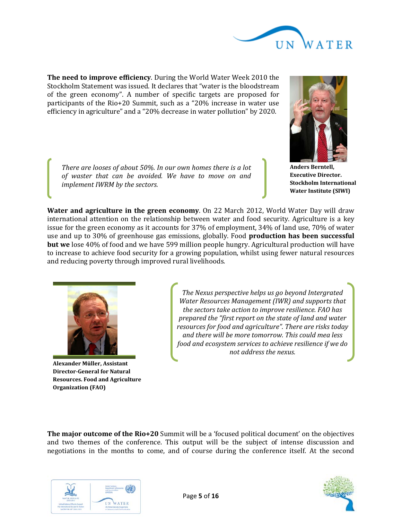

**The need to improve efficiency**. During the World Water Week 2010 the Stockholm Statement was issued. It declares that "water is the bloodstream of the green economy". A number of specific targets are proposed for participants of the Rio+20 Summit, such as a "20% increase in water use efficiency in agriculture" and a "20% decrease in water pollution" by 2020.

*There are looses of about 50%. In our own homes there is a lot of waster that can be avoided. We have to move on and implement IWRM by the sectors.*



**Anders Berntell, Executive Director. Stockholm International Water Institute (SIWI)**

**Water and agriculture in the green economy**. On 22 March 2012, World Water Day will draw international attention on the relationship between water and food security. Agriculture is a key issue for the green economy as it accounts for 37% of employment, 34% of land use, 70% of water use and up to 30% of greenhouse gas emissions, globally. Food **production has been successful but we** lose 40% of food and we have 599 million people hungry. Agricultural production will have to increase to achieve food security for a growing population, whilst using fewer natural resources and reducing poverty through improved rural livelihoods.



**Alexander Müller, Assistant Director-General for Natural Resources. Food and Agriculture Organization (FAO)**

*The Nexus perspective helps us go beyond Intergrated Water Resources Management (IWR) and supports that the sectors take action to improve resilience. FAO has prepared the "first report on the state of land and water resources for food and agriculture". There are risks today and there will be more tomorrow. This could mea less food and ecosystem services to achieve resilience if we do not address the nexus.*

**The major outcome of the Rio+20** Summit will be a 'focused political document' on the objectives and two themes of the conference. This output will be the subject of intense discussion and negotiations in the months to come, and of course during the conference itself. At the second



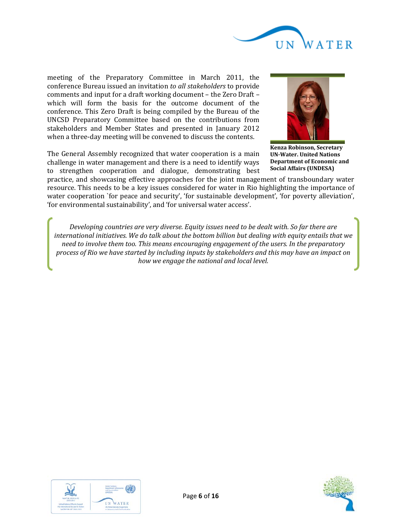

meeting of the Preparatory Committee in March 2011, the conference Bureau issued an invitation *to all stakeholders* to provide comments and input for a draft working document – the Zero Draft *–* which will form the basis for the outcome document of the conference. This Zero Draft is being compiled by the Bureau of the UNCSD Preparatory Committee based on the contributions from stakeholders and Member States and presented in January 2012 when a three-day meeting will be convened to discuss the contents.

The General Assembly recognized that water cooperation is a main challenge in water management and there is a need to identify ways to strengthen cooperation and dialogue, demonstrating best



**Kenza Robinson, Secretary UN-Water. United Nations Department of Economic and Social Affairs (UNDESA)**

practice, and showcasing effective approaches for the joint management of transboundary water resource. This needs to be a key issues considered for water in Rio highlighting the importance of water cooperation `for peace and security', 'for sustainable development', 'for poverty alleviation', 'for environmental sustainability', and 'for universal water access'.

*Developing countries are very diverse. Equity issues need to be dealt with. So far there are international initiatives. We do talk about the bottom billion but dealing with equity entails that we need to involve them too. This means encouraging engagement of the users. In the preparatory process of Rio we have started by including inputs by stakeholders and this may have an impact on how we engage the national and local level.*



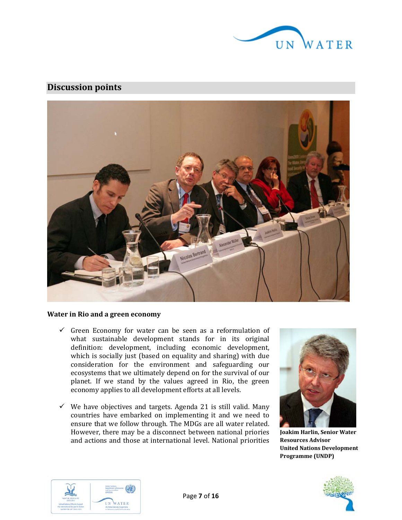

## **Discussion points**



### **Water in Rio and a green economy**

- $\checkmark$  Green Economy for water can be seen as a reformulation of what sustainable development stands for in its original definition: development, including economic development, which is socially just (based on equality and sharing) with due consideration for the environment and safeguarding our ecosystems that we ultimately depend on for the survival of our planet. If we stand by the values agreed in Rio, the green economy applies to all development efforts at all levels.
- $\checkmark$  We have objectives and targets. Agenda 21 is still valid. Many countries have embarked on implementing it and we need to ensure that we follow through. The MDGs are all water related. However, there may be a disconnect between national priories and actions and those at international level. National priorities



**Joakim Harlin, Senior Water Resources Advisor United Nations Development Programme (UNDP)**



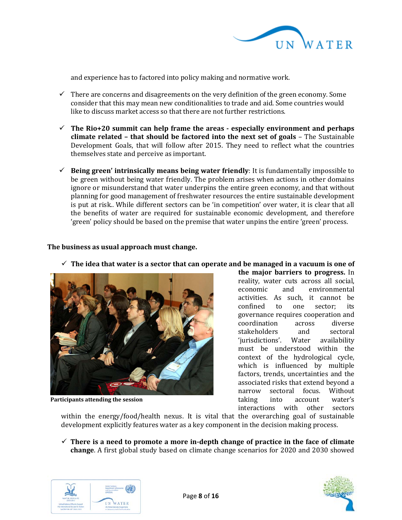

and experience has to factored into policy making and normative work.

- $\checkmark$  There are concerns and disagreements on the very definition of the green economy. Some consider that this may mean new conditionalities to trade and aid. Some countries would like to discuss market access so that there are not further restrictions.
- **The Rio+20 summit can help frame the areas - especially environment and perhaps climate related – that should be factored into the next set of goals** – The Sustainable Development Goals, that will follow after 2015. They need to reflect what the countries themselves state and perceive as important.
- $\checkmark$  Being green' intrinsically means being water friendly: It is fundamentally impossible to be green without being water friendly. The problem arises when actions in other domains ignore or misunderstand that water underpins the entire green economy, and that without planning for good management of freshwater resources the entire sustainable development is put at risk.. While different sectors can be 'in competition' over water, it is clear that all the benefits of water are required for sustainable economic development, and therefore 'green' policy should be based on the premise that water unpins the entire 'green' process.

### **The business as usual approach must change.**



**Participants attending the session**

**the major barriers to progress.** In reality, water cuts across all social,<br>economic and environmental environmental activities. As such, it cannot be confined to one sector; its confined to one sector; its governance requires cooperation and coordination across diverse<br>stakeholders and sectoral stakeholders and sectoral<br>'iurisdictions'. Water availability 'jurisdictions'. must be understood within the context of the hydrological cycle, which is influenced by multiple factors, trends, uncertainties and the associated risks that extend beyond a narrow sectoral focus. Without<br>taking into account water's taking into account water's interactions with other sectors

within the energy/food/health nexus. It is vital that the overarching goal of sustainable development explicitly features water as a key component in the decision making process.

 $\checkmark$  There is a need to promote a more in-depth change of practice in the face of climate **change**. A first global study based on climate change scenarios for 2020 and 2030 showed





**The idea that water is a sector that can operate and be managed in a vacuum is one of**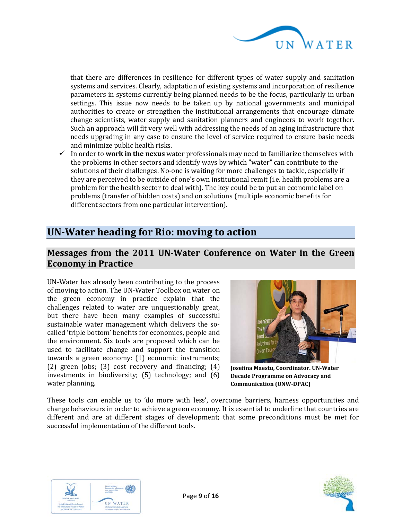

that there are differences in resilience for different types of water supply and sanitation systems and services. Clearly, adaptation of existing systems and incorporation of resilience parameters in systems currently being planned needs to be the focus, particularly in urban settings. This issue now needs to be taken up by national governments and municipal authorities to create or strengthen the institutional arrangements that encourage climate change scientists, water supply and sanitation planners and engineers to work together. Such an approach will fit very well with addressing the needs of an aging infrastructure that needs upgrading in any case to ensure the level of service required to ensure basic needs and minimize public health risks.

 In order to **work in the nexus** water professionals may need to familiarize themselves with the problems in other sectors and identify ways by which "water" can contribute to the solutions of their challenges. No-one is waiting for more challenges to tackle, especially if they are perceived to be outside of one's own institutional remit (i.e. health problems are a problem for the health sector to deal with). The key could be to put an economic label on problems (transfer of hidden costs) and on solutions (multiple economic benefits for different sectors from one particular intervention).

## **UN-Water heading for Rio: moving to action**

## **Messages from the 2011 UN-Water Conference on Water in the Green Economy in Practice**

UN-Water has already been contributing to the process of moving to action. The UN-Water Toolbox on water on the green economy in practice explain that the challenges related to water are unquestionably great, but there have been many examples of successful sustainable water management which delivers the socalled 'triple bottom' benefits for economies, people and the environment. Six tools are proposed which can be used to facilitate change and support the transition towards a green economy: (1) economic instruments; (2) green jobs; (3) cost recovery and financing; (4) investments in biodiversity; (5) technology; and (6) water planning.



**Josefina Maestu, Coordinator. UN-Water Decade Programme on Advocacy and Communication (UNW-DPAC)**

These tools can enable us to 'do more with less', overcome barriers, harness opportunities and change behaviours in order to achieve a green economy. It is essential to underline that countries are different and are at different stages of development; that some preconditions must be met for successful implementation of the different tools.



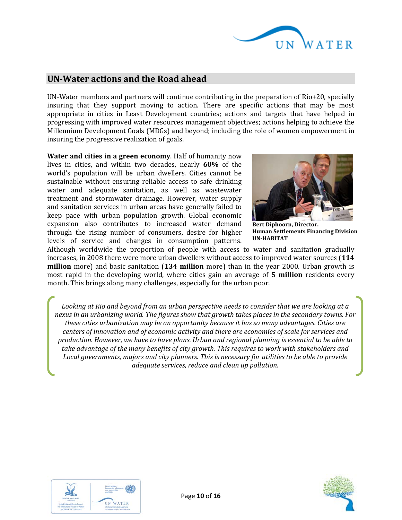

## **UN-Water actions and the Road ahead**

UN-Water members and partners will continue contributing in the preparation of Rio+20, specially insuring that they support moving to action. There are specific actions that may be most appropriate in cities in Least Development countries; actions and targets that have helped in progressing with improved water resources management objectives; actions helping to achieve the Millennium Development Goals (MDGs) and beyond; including the role of women empowerment in insuring the progressive realization of goals.

**Water and cities in a green economy**. Half of humanity now lives in cities, and within two decades, nearly **60%** of the world's population will be urban dwellers. Cities cannot be sustainable without ensuring reliable access to safe drinking water and adequate sanitation, as well as wastewater treatment and stormwater drainage. However, water supply and sanitation services in urban areas have generally failed to keep pace with urban population growth. Global economic expansion also contributes to increased water demand through the rising number of consumers, desire for higher levels of service and changes in consumption patterns.



**Bert Diphoorn, Director. Human Settlements Financing Division UN-HABITAT**

Although worldwide the proportion of people with access to water and sanitation gradually increases, in 2008 there were more urban dwellers without access to improved water sources (**114 million** more) and basic sanitation (**134 million** more) than in the year 2000. Urban growth is most rapid in the developing world, where cities gain an average of **5 million** residents every month. This brings along many challenges, especially for the urban poor.

*Looking at Rio and beyond from an urban perspective needs to consider that we are looking at a nexus in an urbanizing world. The figures show that growth takes places in the secondary towns. For these cities urbanization may be an opportunity because it has so many advantages. Cities are centers of innovation and of economic activity and there are economies of scale for services and production. However, we have to have plans. Urban and regional planning is essential to be able to take advantage of the many benefits of city growth. This requires to work with stakeholders and Local governments, majors and city planners. This is necessary for utilities to be able to provide adequate services, reduce and clean up pollution.*



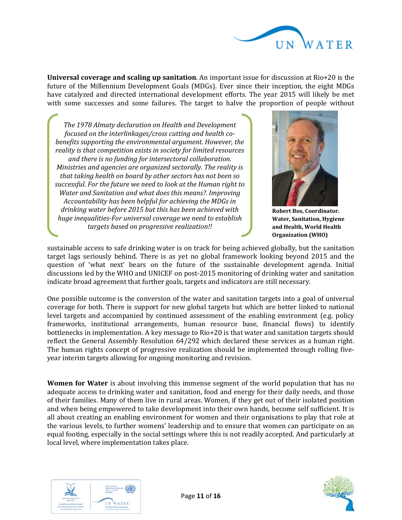

**Universal coverage and scaling up sanitation**. An important issue for discussion at Rio+20 is the future of the Millennium Development Goals (MDGs). Ever since their inception, the eight MDGs have catalyzed and directed international development efforts. The year 2015 will likely be met with some successes and some failures. The target to halve the proportion of people without

*The 1978 Almaty declaration on Health and Development focused on the interlinkages/cross cutting and health cobenefits supporting the environmental argument. However, the reality is that competition exists in society for limited resources and there is no funding for intersectoral collaboration. Ministries and agencies are organized sectorally. The reality is that taking health on board by other sectors has not been so successful. For the future we need to look at the Human right to Water and Sanitation and what does this means?. Improving Accountability has been helpful for achieving the MDGs in drinking water before 2015 but this has been achieved with huge inequalities-For universal coverage we need to establish targets based on progressive realization!!*



**Robert Bos, Coordinator. Water, Sanitation, Hygiene and Health, World Health Organization (WHO)**

sustainable access to safe drinking water is on track for being achieved globally, but the sanitation target lags seriously behind. There is as yet no global framework looking beyond 2015 and the question of 'what next' bears on the future of the sustainable development agenda. Initial discussions led by the WHO and UNICEF on post-2015 monitoring of drinking water and sanitation indicate broad agreement that further goals, targets and indicators are still necessary.

One possible outcome is the conversion of the water and sanitation targets into a goal of universal coverage for both. There is support for new global targets but which are better linked to national level targets and accompanied by continued assessment of the enabling environment (e.g. policy frameworks, institutional arrangements, human resource base, financial flows) to identify bottlenecks in implementation. A key message to Rio+20 is that water and sanitation targets should reflect the General Assembly Resolution 64/292 which declared these services as a human right. The human rights concept of progressive realization should be implemented through rolling fiveyear interim targets allowing for ongoing monitoring and revision.

**Women for Water** is about involving this immense segment of the world population that has no adequate access to drinking water and sanitation, food and energy for their daily needs, and those of their families. Many of them live in rural areas. Women, if they get out of their isolated position and when being empowered to take development into their own hands, become self sufficient. It is all about creating an enabling environment for women and their organisations to play that role at the various levels, to further womens' leadership and to ensure that women can participate on an equal footing, especially in the social settings where this is not readily accepted. And particularly at local level, where implementation takes place.



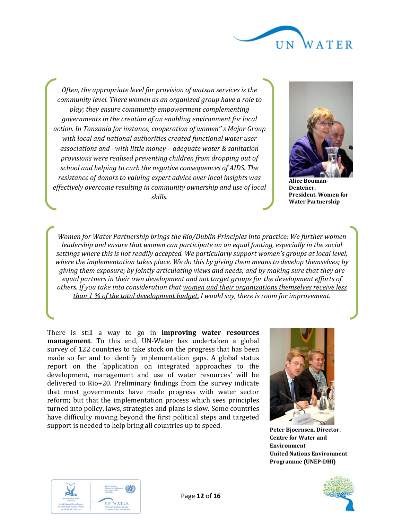

*Often, the appropriate level for provision of watsan services is the community level. There women as an organized group have a role to play; they ensure community empowerment complementing governments in the creation of an enabling environment for local action. In Tanzania for instance, cooperation of women'' s Major Group with local and national authorities created functional water user associations and –with little money – adequate water & sanitation provisions were realised preventing children from dropping out of school and helping to curb the negative consequences of AIDS. The resistance of donors to valuing expert advice over local insights was effectively overcome resulting in community ownership and use of local skills.*



**Alice Bouman-Dentener, President. Women for Water Partnership**

*Women for Water Partnership brings the Rio/Dublin Principles into practice: We further women leadership and ensure that women can participate on an equal footing, especially in the social settings where this is not readily accepted. We particularly support women's groups at local level, where the implementation takes place. We do this by giving them means to develop themselves; by giving them exposure; by jointly articulating views and needs; and by making sure that they are equal partners in their own development and not target groups for the development efforts of others. If you take into consideration that women and their organizations themselves receive less than 1 % of the total development budget, I would say, there is room for improvement.*

There is still a way to go in **improving water resources management**. To this end, UN-Water has undertaken a global survey of 122 countries to take stock on the progress that has been made so far and to identify implementation gaps. A global status report on the 'application on integrated approaches to the development, management and use of water resources' will be delivered to Rio+20. Preliminary findings from the survey indicate that most governments have made progress with water sector reform; but that the implementation process which sees principles turned into policy, laws, strategies and plans is slow. Some countries have difficulty moving beyond the first political steps and targeted support is needed to help bring all countries up to speed.



**Peter Bjoernsen. Director. Centre for Water and Environment United Nations Environment Programme (UNEP-DHI)**



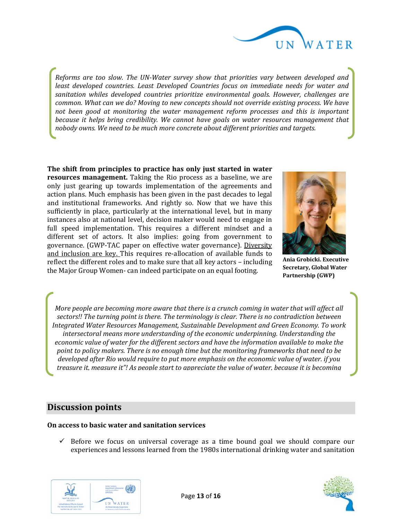

*Reforms are too slow. The UN-Water survey show that priorities vary between developed and least developed countries. Least Developed Countries focus on immediate needs for water and sanitation whiles developed countries prioritize environmental goals. However, challenges are common. What can we do? Moving to new concepts should not override existing process. We have not been good at monitoring the water management reform processes and this is important because it helps bring credibility. We cannot have goals on water resources management that nobody owns. We need to be much more concrete about different priorities and targets.*

**The shift from principles to practice has only just started in water resources management.** Taking the Rio process as a baseline, we are only just gearing up towards implementation of the agreements and action plans. Much emphasis has been given in the past decades to legal and institutional frameworks. And rightly so. Now that we have this sufficiently in place, particularly at the international level, but in many instances also at national level, decision maker would need to engage in full speed implementation. This requires a different mindset and a different set of actors. It also implies: going from government to governance. (GWP-TAC paper on effective water governance). Diversity and inclusion are key. This requires re-allocation of available funds to reflect the different roles and to make sure that all key actors – including the Major Group Women- can indeed participate on an equal footing.



**Ania Grobicki. Executive Secretary, Global Water Partnership (GWP)**

*More people are becoming more aware that there is a crunch coming in water that will affect all sectors!! The turning point is there. The terminology is clear. There is no contradiction between Integrated Water Resources Management, Sustainable Development and Green Economy. To work intersectoral means more understanding of the economic underpinning. Understanding the economic value of water for the different sectors and have the information available to make the point to policy makers. There is no enough time but the monitoring frameworks that need to be developed after Rio would require to put more emphasis on the economic value of water. if you treasure it, measure it"! As people start to appreciate the value of water, because it is becoming* 

### **Discussion points**

### **On access to basic water and sanitation services**

 $\checkmark$  Before we focus on universal coverage as a time bound goal we should compare our experiences and lessons learned from the 1980s international drinking water and sanitation



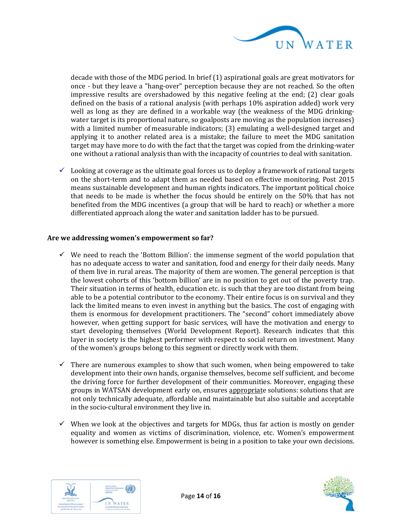

decade with those of the MDG period. In brief (1) aspirational goals are great motivators for once - but they leave a "hang-over" perception because they are not reached. So the often impressive results are overshadowed by this negative feeling at the end; (2) clear goals defined on the basis of a rational analysis (with perhaps 10% aspiration added) work very well as long as they are defined in a workable way (the weakness of the MDG drinkingwater target is its proportional nature, so goalposts are moving as the population increases) with a limited number of measurable indicators; (3) emulating a well-designed target and applying it to another related area is a mistake; the failure to meet the MDG sanitation target may have more to do with the fact that the target was copied from the drinking-water one without a rational analysis than with the incapacity of countries to deal with sanitation.

 $\checkmark$  Looking at coverage as the ultimate goal forces us to deploy a framework of rational targets on the short-term and to adapt them as needed based on effective monitoring. Post 2015 means sustainable development and human rights indicators. The important political choice that needs to be made is whether the focus should be entirely on the 50% that has not benefited from the MDG incentives (a group that will be hard to reach) or whether a more differentiated approach along the water and sanitation ladder has to be pursued.

### **Are we addressing women's empowerment so far?**

- $\checkmark$  We need to reach the 'Bottom Billion': the immense segment of the world population that has no adequate access to water and sanitation, food and energy for their daily needs. Many of them live in rural areas. The majority of them are women. The general perception is that the lowest cohorts of this 'bottom billion' are in no position to get out of the poverty trap. Their situation in terms of health, education etc. is such that they are too distant from being able to be a potential contributor to the economy. Their entire focus is on survival and they lack the limited means to even invest in anything but the basics. The cost of engaging with them is enormous for development practitioners. The "second" cohort immediately above however, when getting support for basic services, will have the motivation and energy to start developing themselves (World Development Report). Research indicates that this layer in society is the highest performer with respect to social return on investment. Many of the women's groups belong to this segment or directly work with them.
- $\checkmark$  There are numerous examples to show that such women, when being empowered to take development into their own hands, organise themselves, become self sufficient, and become the driving force for further development of their communities. Moreover, engaging these groups in WATSAN development early on, ensures appropriate solutions: solutions that are not only technically adequate, affordable and maintainable but also suitable and acceptable in the socio-cultural environment they live in.
- $\checkmark$  When we look at the objectives and targets for MDGs, thus far action is mostly on gender equality and women as victims of discrimination, violence, etc. Women's empowerment however is something else. Empowerment is being in a position to take your own decisions.



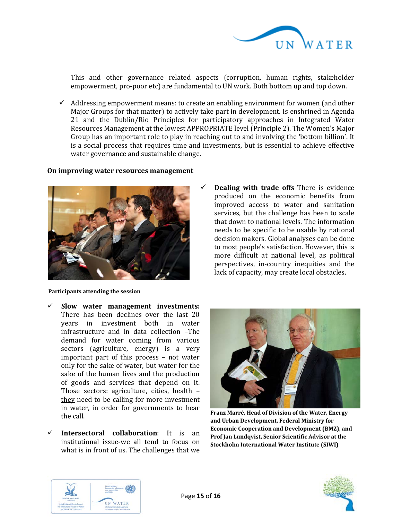

This and other governance related aspects (corruption, human rights, stakeholder empowerment, pro-poor etc) are fundamental to UN work. Both bottom up and top down.

 $\checkmark$  Addressing empowerment means: to create an enabling environment for women (and other Major Groups for that matter) to actively take part in development. Is enshrined in Agenda 21 and the Dublin/Rio Principles for participatory approaches in Integrated Water Resources Management at the lowest APPROPRIATE level (Principle 2). The Women's Major Group has an important role to play in reaching out to and involving the 'bottom billion'. It is a social process that requires time and investments, but is essential to achieve effective water governance and sustainable change.

#### **On improving water resources management**



#### **Participants attending the session**

- **Slow water management investments:**  There has been declines over the last 20 years in investment both in water infrastructure and in data collection –The demand for water coming from various sectors (agriculture, energy) is a very important part of this process – not water only for the sake of water, but water for the sake of the human lives and the production of goods and services that depend on it. Those sectors: agriculture, cities, health – they need to be calling for more investment in water, in order for governments to hear the call.
- **Intersectoral collaboration**: It is an institutional issue-we all tend to focus on what is in front of us. The challenges that we





**Franz Marré, Head of Division of the Water, Energy and Urban Development, Federal Ministry for Economic Cooperation and Development (BMZ), and Prof Jan Lundqvist, Senior Scientific Advisor at the Stockholm International Water Institute (SIWI)**